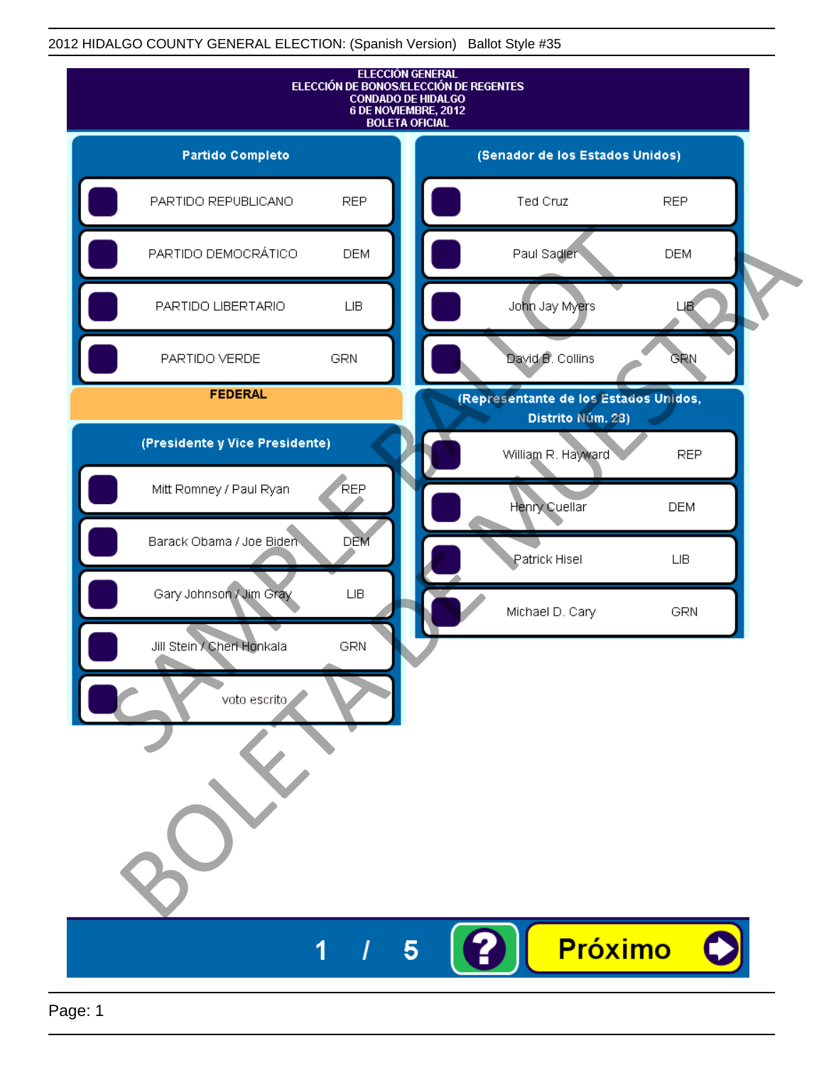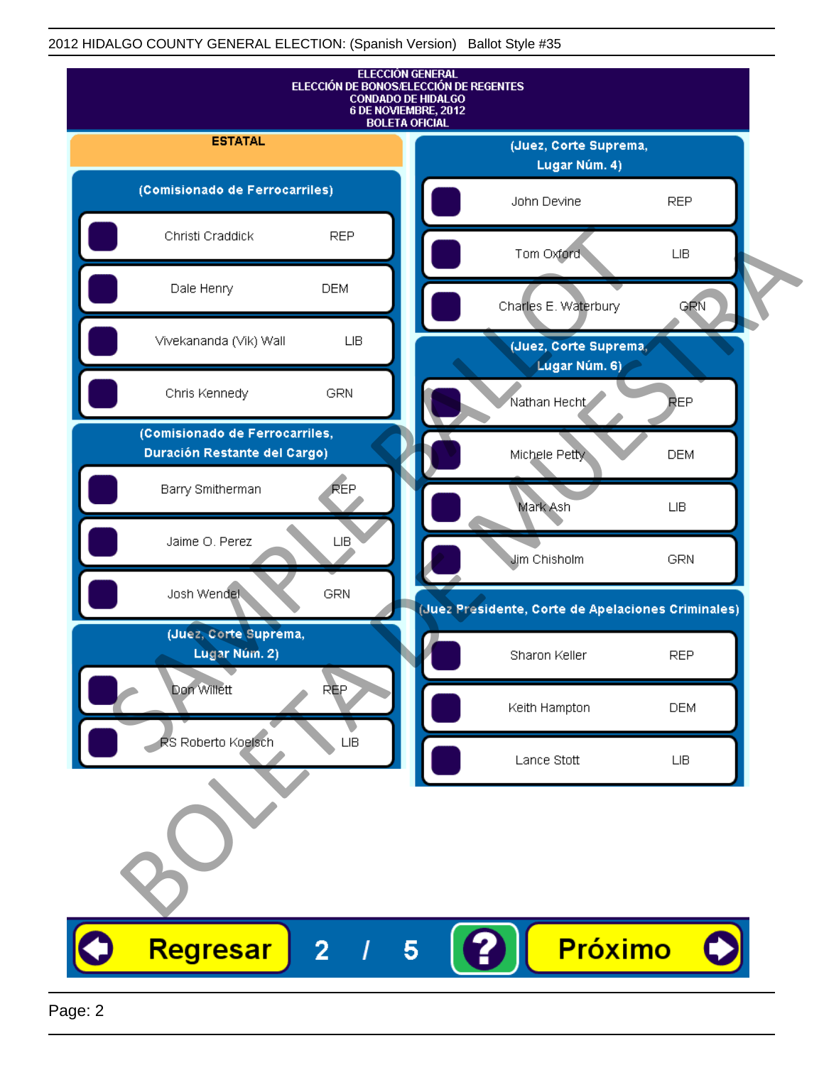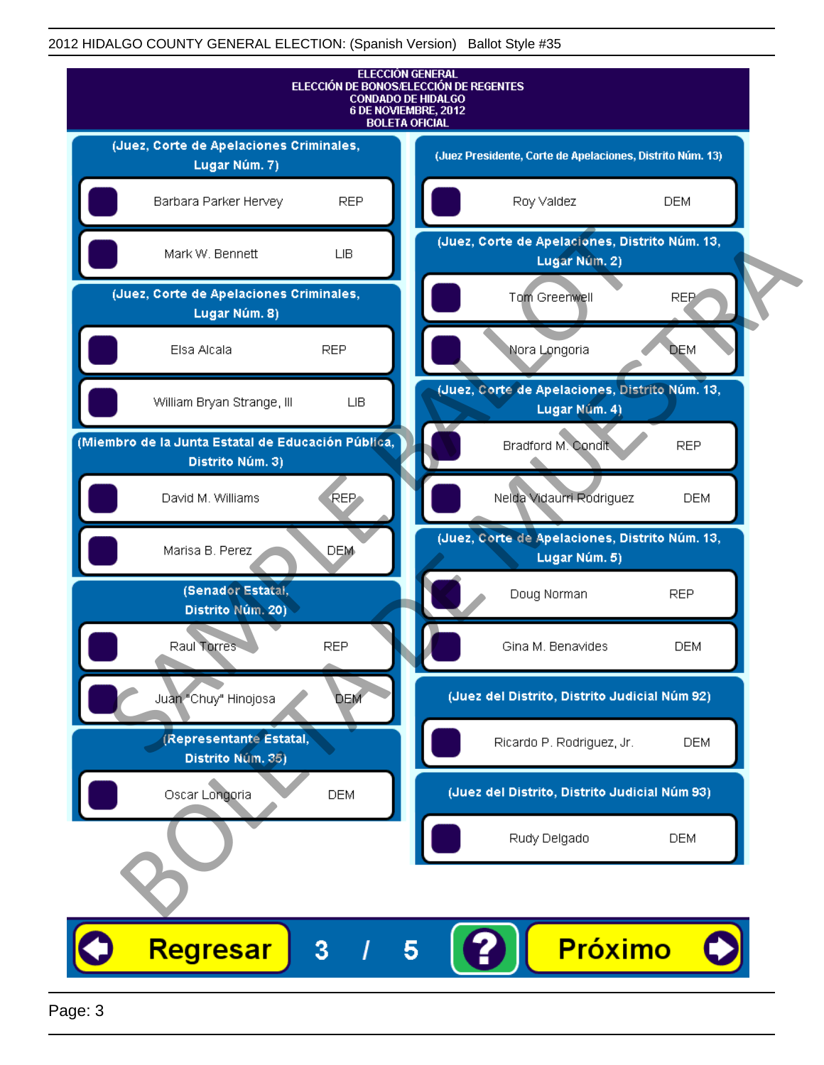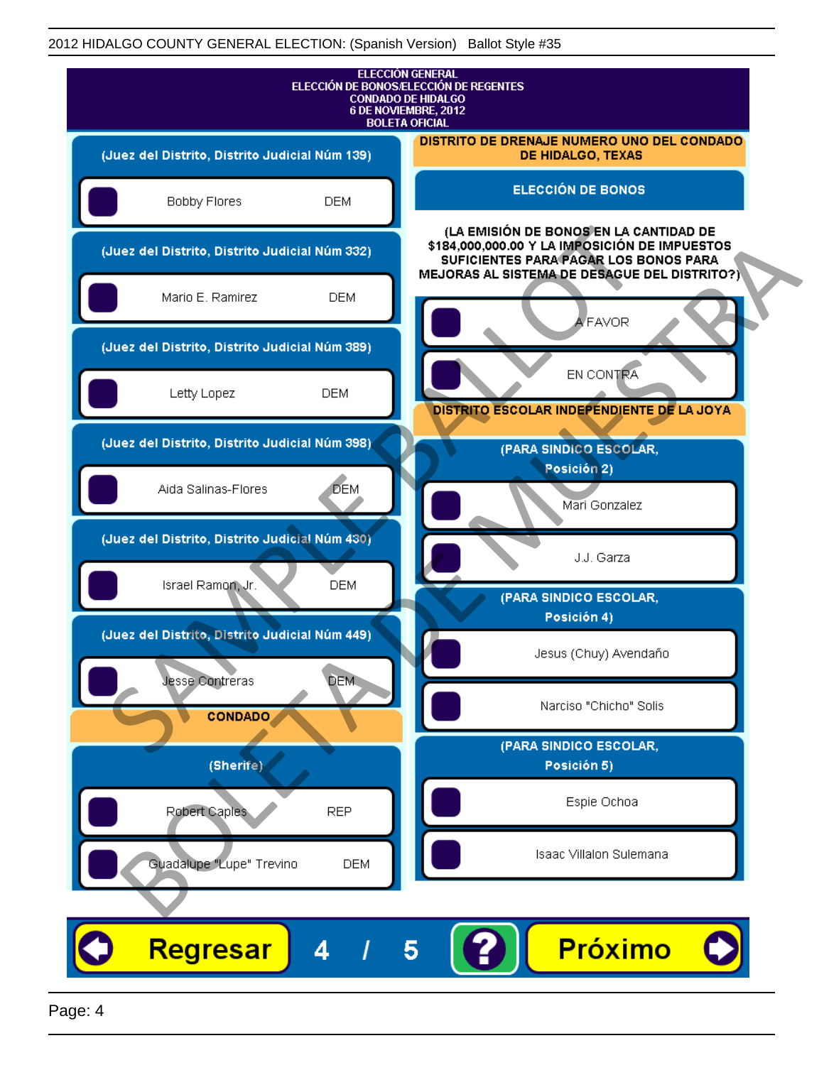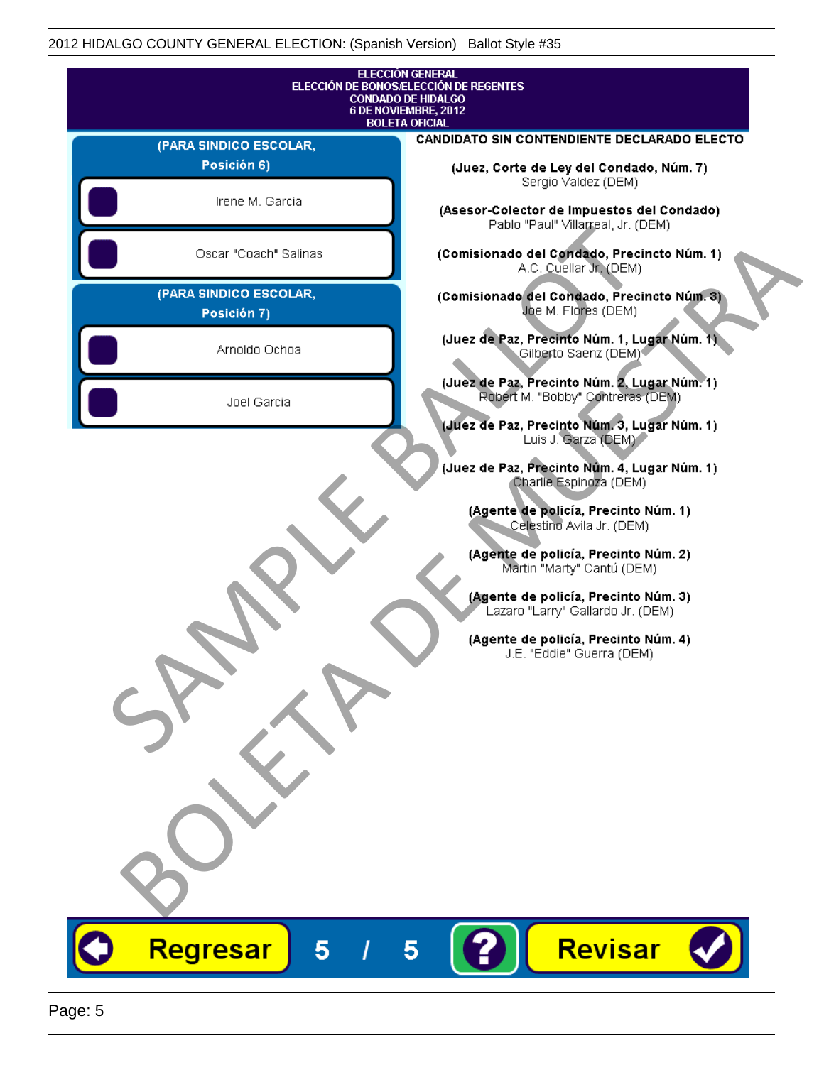|                                               | <b>ELECCIÓN GENERAL</b><br>ELECCIÓN DE BONOS/ELECCIÓN DE REGENTES<br><b>CONDADO DE HIDALGO</b> |
|-----------------------------------------------|------------------------------------------------------------------------------------------------|
| 6 DE NOVIEMBRE, 2012<br><b>BOLETA OFICIAL</b> |                                                                                                |
| (PARA SINDICO ESCOLAR,                        | CANDIDATO SIN CONTENDIENTE DECLARADO ELECTO                                                    |
| Posición 6)                                   | (Juez, Corte de Ley del Condado, Núm. 7)<br>Sergio Valdez (DEM)                                |
| Irene M. Garcia                               | (Asesor-Colector de Impuestos del Condado)<br>Pablo "Paul" Villarreal, Jr. (DEM)               |
| Oscar "Coach" Salinas                         | (Comisionado del Condado, Precincto Núm. 1)<br>A.C. Cuellar Jr. (DEM)                          |
| (PARA SINDICO ESCOLAR,<br>Posición 7)         | (Comisionado del Condado, Precincto Núm. 3)<br>Joe M. Flores (DEM)                             |
| Arnoldo Ochoa                                 | (Juez de Paz, Precinto Núm. 1, Lugar Núm. 1)<br>Gilberto Saenz (DEM) <sup>®</sup>              |
| Joel Garcia                                   | (Juez de Paz, Precinto Núm. 2, Lugar Núm. 1)<br>Robert M. "Bobby" Contreras (DEM)              |
|                                               | (Juez de Paz, Precinto Núm. 3, Lugar Núm. 1)<br>Luis J. Garza (DEM)                            |
|                                               | (Juez de Paz, Precinto Núm. 4, Lugar Núm. 1)<br>Charlie Espingza (DEM)                         |
|                                               | (Agente de policía, Precinto Núm. 1)<br>Celestino Avila Jr. (DEM)                              |
|                                               | (Agente de policía, Precinto Núm. 2)<br>Martin "Marty" Cantú (DEM)                             |
|                                               | (Agente de policía, Precinto Núm. 3)<br>Lazaro "Larry" Gallardo Jr. (DEM)                      |
|                                               | (Agente de policía, Precinto Núm. 4)<br>J.E. "Eddie" Guerra (DEM)                              |
|                                               |                                                                                                |
|                                               |                                                                                                |
|                                               |                                                                                                |
|                                               |                                                                                                |
|                                               |                                                                                                |
|                                               |                                                                                                |
| Regresar<br>5                                 | Revisar                                                                                        |
|                                               | $\overline{\mathbf{5}}$                                                                        |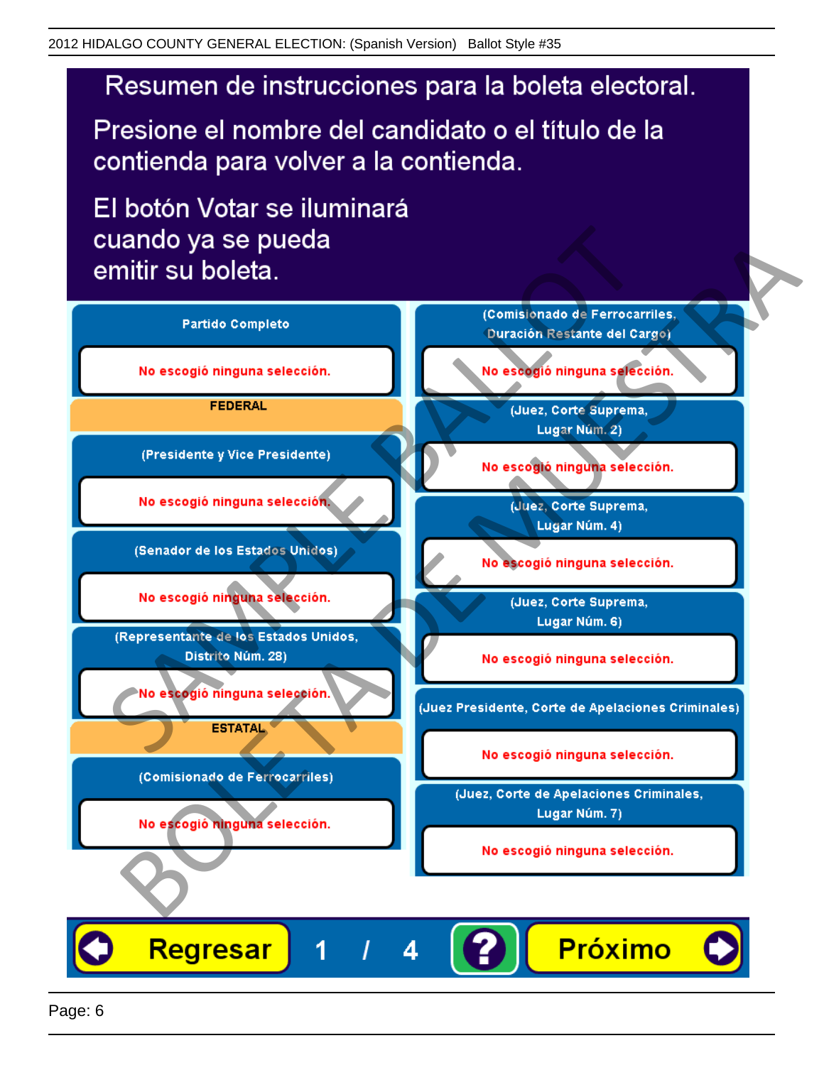Presione el nombre del candidato o el título de la contienda para volver a la contienda.

El botón Votar se iluminará

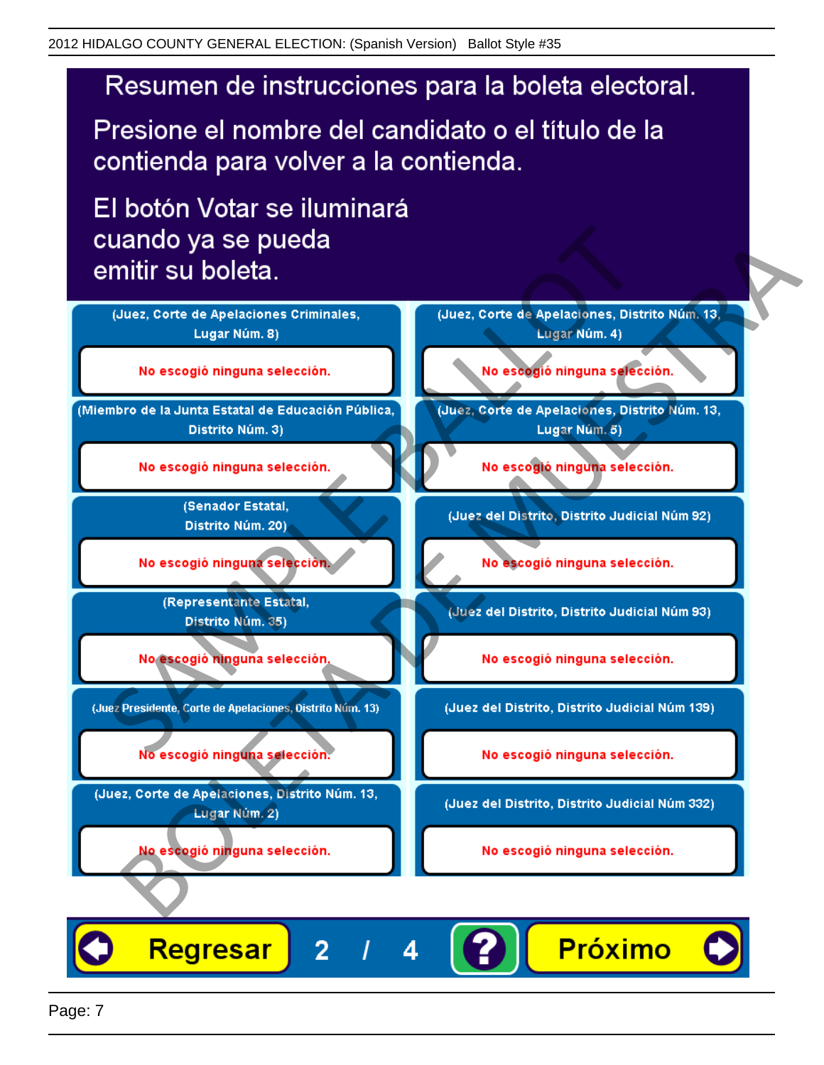Presione el nombre del candidato o el título de la contienda para volver a la contienda.

El botón Votar se iluminará



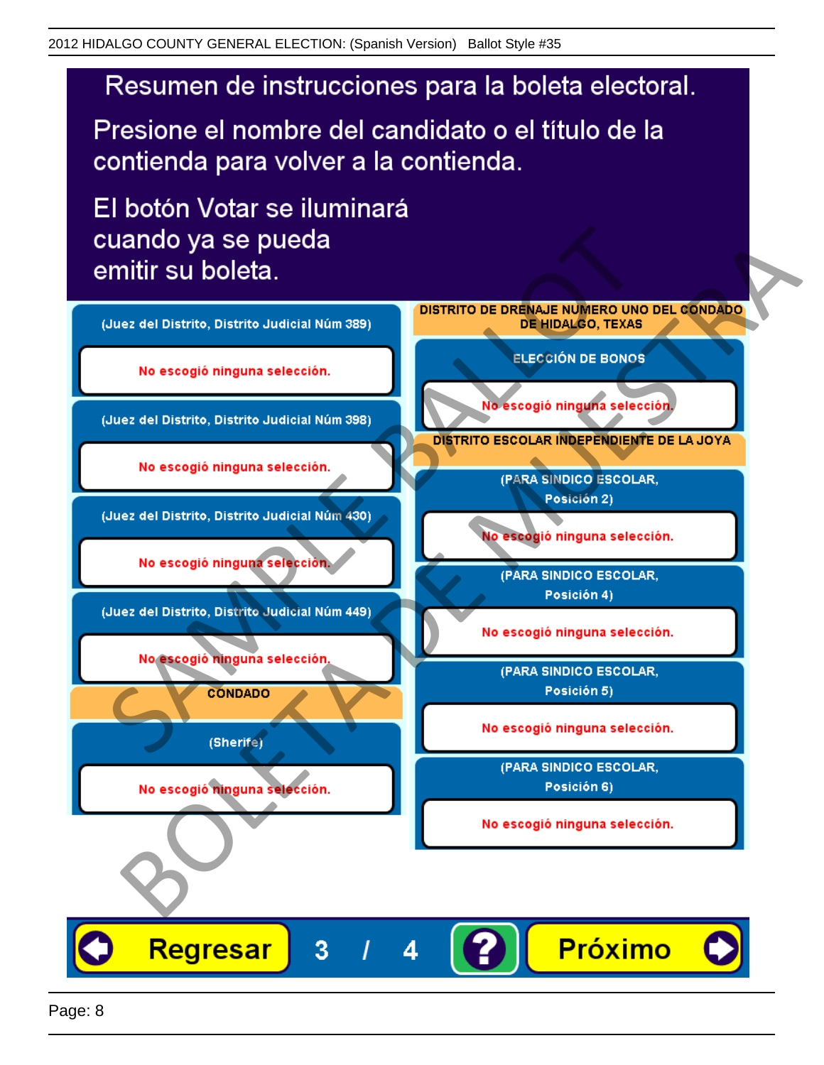Presione el nombre del candidato o el título de la contienda para volver a la contienda.

El botón Votar se iluminará